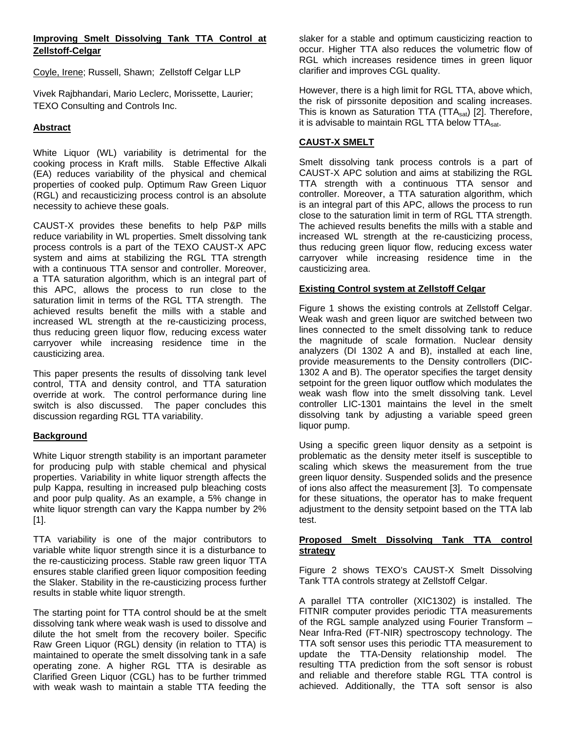## **Improving Smelt Dissolving Tank TTA Control at Zellstoff-Celgar**

Coyle, Irene; Russell, Shawn; Zellstoff Celgar LLP

Vivek Rajbhandari, Mario Leclerc, Morissette, Laurier; TEXO Consulting and Controls Inc.

# **Abstract**

White Liquor (WL) variability is detrimental for the cooking process in Kraft mills. Stable Effective Alkali (EA) reduces variability of the physical and chemical properties of cooked pulp. Optimum Raw Green Liquor (RGL) and recausticizing process control is an absolute necessity to achieve these goals.

CAUST-X provides these benefits to help P&P mills reduce variability in WL properties. Smelt dissolving tank process controls is a part of the TEXO CAUST-X APC system and aims at stabilizing the RGL TTA strength with a continuous TTA sensor and controller. Moreover, a TTA saturation algorithm, which is an integral part of this APC, allows the process to run close to the saturation limit in terms of the RGL TTA strength. The achieved results benefit the mills with a stable and increased WL strength at the re-causticizing process, thus reducing green liquor flow, reducing excess water carryover while increasing residence time in the causticizing area.

This paper presents the results of dissolving tank level control, TTA and density control, and TTA saturation override at work. The control performance during line switch is also discussed. The paper concludes this discussion regarding RGL TTA variability.

## **Background**

White Liquor strength stability is an important parameter for producing pulp with stable chemical and physical properties. Variability in white liquor strength affects the pulp Kappa, resulting in increased pulp bleaching costs and poor pulp quality. As an example, a 5% change in white liquor strength can vary the Kappa number by 2% [1].

TTA variability is one of the major contributors to variable white liquor strength since it is a disturbance to the re-causticizing process. Stable raw green liquor TTA ensures stable clarified green liquor composition feeding the Slaker. Stability in the re-causticizing process further results in stable white liquor strength.

The starting point for TTA control should be at the smelt dissolving tank where weak wash is used to dissolve and dilute the hot smelt from the recovery boiler. Specific Raw Green Liquor (RGL) density (in relation to TTA) is maintained to operate the smelt dissolving tank in a safe operating zone. A higher RGL TTA is desirable as Clarified Green Liquor (CGL) has to be further trimmed with weak wash to maintain a stable TTA feeding the

slaker for a stable and optimum causticizing reaction to occur. Higher TTA also reduces the volumetric flow of RGL which increases residence times in green liquor clarifier and improves CGL quality.

However, there is a high limit for RGL TTA, above which, the risk of pirssonite deposition and scaling increases. This is known as Saturation TTA (TTA<sub>sat</sub>) [2]. Therefore, it is advisable to maintain RGL TTA below TTA<sub>sat</sub>.

# **CAUST-X SMELT**

Smelt dissolving tank process controls is a part of CAUST-X APC solution and aims at stabilizing the RGL TTA strength with a continuous TTA sensor and controller. Moreover, a TTA saturation algorithm, which is an integral part of this APC, allows the process to run close to the saturation limit in term of RGL TTA strength. The achieved results benefits the mills with a stable and increased WL strength at the re-causticizing process, thus reducing green liquor flow, reducing excess water carryover while increasing residence time in the causticizing area.

## **Existing Control system at Zellstoff Celgar**

Figure 1 shows the existing controls at Zellstoff Celgar. Weak wash and green liquor are switched between two lines connected to the smelt dissolving tank to reduce the magnitude of scale formation. Nuclear density analyzers (DI 1302 A and B), installed at each line, provide measurements to the Density controllers (DIC-1302 A and B). The operator specifies the target density setpoint for the green liquor outflow which modulates the weak wash flow into the smelt dissolving tank. Level controller LIC-1301 maintains the level in the smelt dissolving tank by adjusting a variable speed green liquor pump.

Using a specific green liquor density as a setpoint is problematic as the density meter itself is susceptible to scaling which skews the measurement from the true green liquor density. Suspended solids and the presence of ions also affect the measurement [3]. To compensate for these situations, the operator has to make frequent adjustment to the density setpoint based on the TTA lab test.

## **Proposed Smelt Dissolving Tank TTA control strategy**

Figure 2 shows TEXO's CAUST-X Smelt Dissolving Tank TTA controls strategy at Zellstoff Celgar.

A parallel TTA controller (XIC1302) is installed. The FITNIR computer provides periodic TTA measurements of the RGL sample analyzed using Fourier Transform – Near Infra-Red (FT-NIR) spectroscopy technology. The TTA soft sensor uses this periodic TTA measurement to update the TTA-Density relationship model. The resulting TTA prediction from the soft sensor is robust and reliable and therefore stable RGL TTA control is achieved. Additionally, the TTA soft sensor is also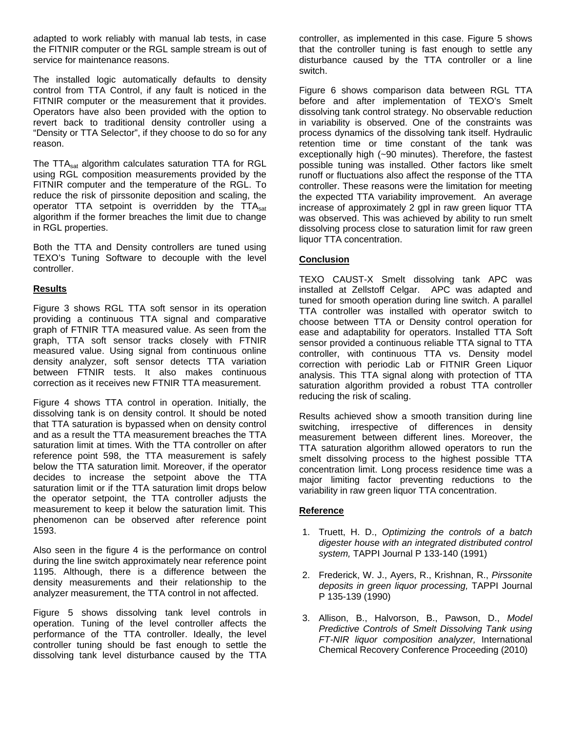adapted to work reliably with manual lab tests, in case the FITNIR computer or the RGL sample stream is out of service for maintenance reasons.

The installed logic automatically defaults to density control from TTA Control, if any fault is noticed in the FITNIR computer or the measurement that it provides. Operators have also been provided with the option to revert back to traditional density controller using a "Density or TTA Selector", if they choose to do so for any reason.

The TTAsat algorithm calculates saturation TTA for RGL using RGL composition measurements provided by the FITNIR computer and the temperature of the RGL. To reduce the risk of pirssonite deposition and scaling, the operator TTA setpoint is overridden by the  $TTA<sub>sat</sub>$ algorithm if the former breaches the limit due to change in RGL properties.

Both the TTA and Density controllers are tuned using TEXO's Tuning Software to decouple with the level controller.

## **Results**

Figure 3 shows RGL TTA soft sensor in its operation providing a continuous TTA signal and comparative graph of FTNIR TTA measured value. As seen from the graph, TTA soft sensor tracks closely with FTNIR measured value. Using signal from continuous online density analyzer, soft sensor detects TTA variation between FTNIR tests. It also makes continuous correction as it receives new FTNIR TTA measurement.

Figure 4 shows TTA control in operation. Initially, the dissolving tank is on density control. It should be noted that TTA saturation is bypassed when on density control and as a result the TTA measurement breaches the TTA saturation limit at times. With the TTA controller on after reference point 598, the TTA measurement is safely below the TTA saturation limit. Moreover, if the operator decides to increase the setpoint above the TTA saturation limit or if the TTA saturation limit drops below the operator setpoint, the TTA controller adjusts the measurement to keep it below the saturation limit. This phenomenon can be observed after reference point 1593.

Also seen in the figure 4 is the performance on control during the line switch approximately near reference point 1195. Although, there is a difference between the density measurements and their relationship to the analyzer measurement, the TTA control in not affected.

Figure 5 shows dissolving tank level controls in operation. Tuning of the level controller affects the performance of the TTA controller. Ideally, the level controller tuning should be fast enough to settle the dissolving tank level disturbance caused by the TTA

controller, as implemented in this case. Figure 5 shows that the controller tuning is fast enough to settle any disturbance caused by the TTA controller or a line switch.

Figure 6 shows comparison data between RGL TTA before and after implementation of TEXO's Smelt dissolving tank control strategy. No observable reduction in variability is observed. One of the constraints was process dynamics of the dissolving tank itself. Hydraulic retention time or time constant of the tank was exceptionally high (~90 minutes). Therefore, the fastest possible tuning was installed. Other factors like smelt runoff or fluctuations also affect the response of the TTA controller. These reasons were the limitation for meeting the expected TTA variability improvement. An average increase of approximately 2 gpl in raw green liquor TTA was observed. This was achieved by ability to run smelt dissolving process close to saturation limit for raw green liquor TTA concentration.

#### **Conclusion**

TEXO CAUST-X Smelt dissolving tank APC was installed at Zellstoff Celgar. APC was adapted and tuned for smooth operation during line switch. A parallel TTA controller was installed with operator switch to choose between TTA or Density control operation for ease and adaptability for operators. Installed TTA Soft sensor provided a continuous reliable TTA signal to TTA controller, with continuous TTA vs. Density model correction with periodic Lab or FITNIR Green Liquor analysis. This TTA signal along with protection of TTA saturation algorithm provided a robust TTA controller reducing the risk of scaling.

Results achieved show a smooth transition during line switching, irrespective of differences in density measurement between different lines. Moreover, the TTA saturation algorithm allowed operators to run the smelt dissolving process to the highest possible TTA concentration limit. Long process residence time was a major limiting factor preventing reductions to the variability in raw green liquor TTA concentration.

#### **Reference**

- 1. Truett, H. D., *Optimizing the controls of a batch digester house with an integrated distributed control system,* TAPPI Journal P 133-140 (1991)
- 2. Frederick, W. J., Ayers, R., Krishnan, R., *Pirssonite deposits in green liquor processing,* TAPPI Journal P 135-139 (1990)
- 3. Allison, B., Halvorson, B., Pawson, D., *Model Predictive Controls of Smelt Dissolving Tank using FT-NIR liquor composition analyzer,* International Chemical Recovery Conference Proceeding (2010)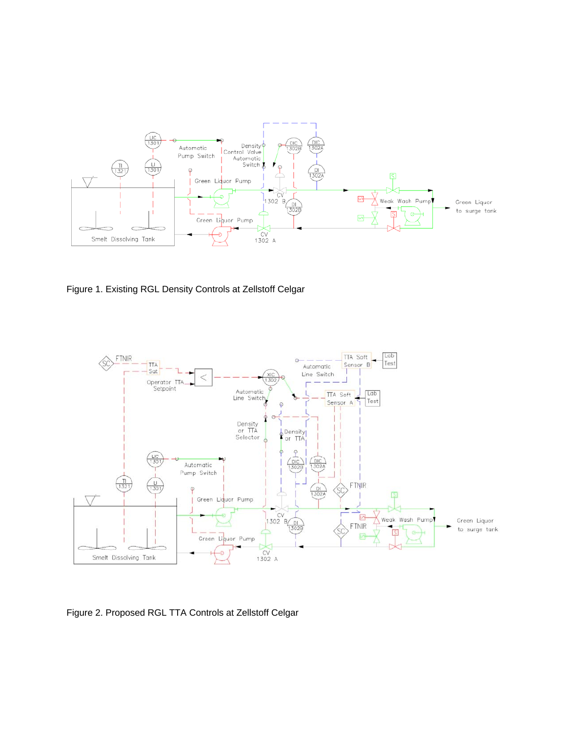

Figure 1. Existing RGL Density Controls at Zellstoff Celgar



Figure 2. Proposed RGL TTA Controls at Zellstoff Celgar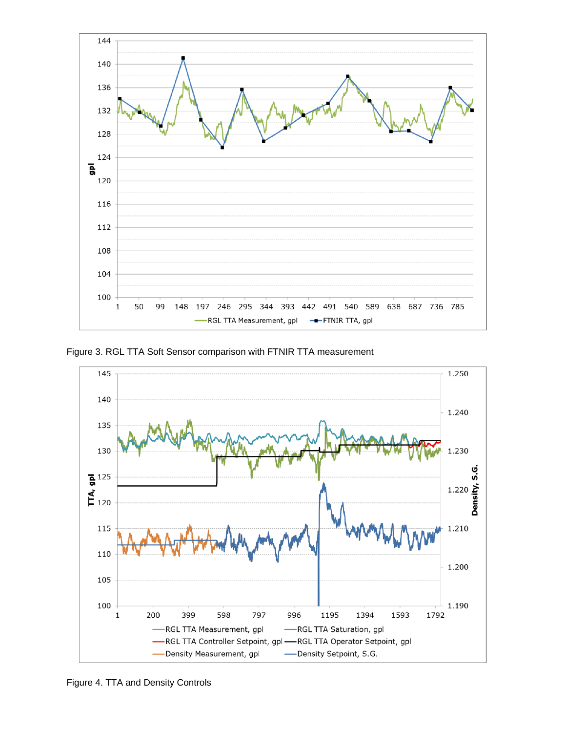

Figure 3. RGL TTA Soft Sensor comparison with FTNIR TTA measurement



Figure 4. TTA and Density Controls